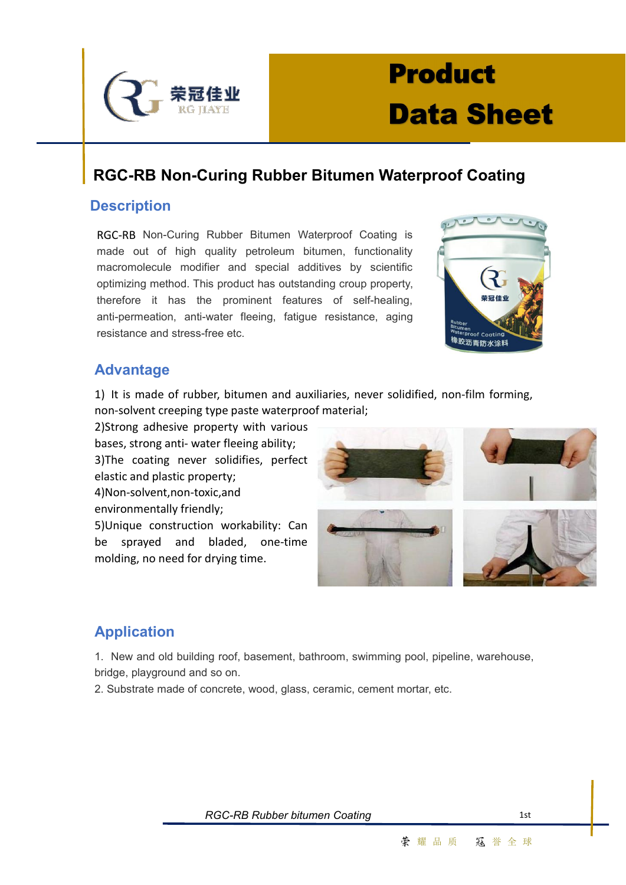

# **Product Data Sheet**

### **RGC-RB Non-Curing Rubber Bitumen Waterproof Coating**

#### **Description**

RGC-RB Non-Curing Rubber Bitumen Waterproof Coating is made out of high quality petroleum bitumen, functionality macromolecule modifier and special additives by scientific optimizing method. This product has outstanding croup property, therefore it has the prominent features of self-healing, anti-permeation, anti-water fleeing, fatigue resistance, aging resistance and stress-free etc.



#### **Advantage**

1) It is made of rubber, bitumen and auxiliaries, never solidified, non-film forming, non-solvent creeping type paste waterproof material;

2)Strong adhesive property with various bases, strong anti- water fleeing ability; 3)The coating never solidifies, perfect elastic and plastic property; 4)Non-solvent,non-toxic,and environmentally friendly;

5)Unique construction workability: Can be sprayed and bladed, one-time molding, no need for drying time.



### **Application**

1. New and old building roof, basement, bathroom, swimming pool, pipeline, warehouse, bridge, playground and so on.

2. Substrate made of concrete, wood, glass, ceramic, cement mortar, etc.

**RGC-RB** Rubber bitumen Coating 1st